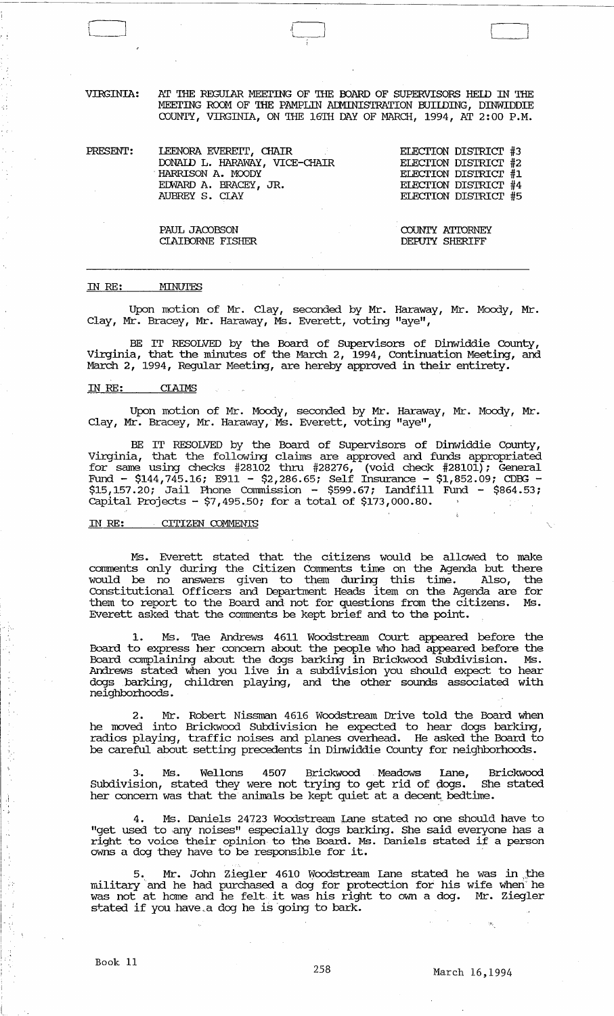VIRGINIA: AT THE REGULAR MEETING OF THE BOARD OF SUPERVISORS HELD IN THE MEETING ROOM OF THE PAMPLIN ADMINISTRATION BUILDING, DINWIDDIE COUNTY, VIRGINIA, ON THE 16TH DAY OF MARCH, 1994, AT 2:00 P.M.

PRESENT: LEENORA EVEREIT, CHAIR DONAID L. HARAWAY, VICE-CHAIR . HARRISON A. MOODY EmARD A. BRACEY, JR. AUBREY S. CIAY ELEcrION DISTRIcr #3 EIEcrION DISTRIcr #2 ELEcrION DISTRIcr #1 ELEcrION DISTRIcr #4 ELEcrION DISTRIcr #5

> COUNTY ATIDRNEY DEPUTY SHERIFF

 $\begin{bmatrix} 1 & 1 \\ 1 & 1 \end{bmatrix}$ 

PAUL JACOBSON CIAIOORNE FISHER

#### IN *RE:*  MINUTES

 $\Box$ 

Upon motion of Mr. Clay, seconded by Mr. Haraway, Mr. Moody, Mr • Clay, Mr. Bracey, Mr. Haraway, Ms. Everett, voting "aye",

BE IT RESOLVED by the Board of Supervisors of Dinwiddie County, Virginia, that the minutes of the March 2, 1994, Continuation Meeting, and March 2, 1994, Regular Meeting, are hereby approved in their entirety.

## IN *RE:* CIAIMS

Upon motion of Mr. Moody, seconded by Mr. Haraway, Mr. Moody, Mr • Clay, Mr. Bracey, Mr. Haraway,' Ms. Everett, voting "aye",

BE IT RESOLVED by the Board of Supervisors of Dinwiddie County, Virginia, that the following claims are approved and funds appropriated for same using checks #28102 thru #28276, (void check #28101); General Fund - \$144,745.16; E911 - \$2,286.65; Self Insurance - \$1,852.09; CDBG - \$15,157.20; Jail Phone cammission - \$599.67; landfill Fund - \$864.53; capital Projects - \$7,495.50; for a total of \$173,000.80.

#### IN RE: CITIZEN COMMENTS

Ms. Everett stated that the citizens would be allowed to make comments only during the Citizen Comments time on the Agenda but there would be no answers given to them during this time. Also, the constitutional Officers and Department Heads item on the Agenda are for them to report to the Board and not for questions from the citizens. Ms. Everett asked that the conunents be kept brief and to the point.

1. Ms. Tae Andrews 4611 Woodstream Court appeared before the Board to express her' concern about the people who had appeared before the Board complaining about the dogs barking in Brickwood SUbdivision. Ms. Andrews stated when you live in a subdivision you should expect to hear dogs barking, children playing, and the other sounds associated with neighborhoods.

Mr. Robert Nissman 4616 Woodstream Drive told the Board when he moved into Brickwood Subdivision he expected to hear dogs barking, radios playing, traffic noises and planes overhead. He asked the Board to be careful about setting precedents in Dinwiddie County for neighborhoods.

3.. Ms.. Wellons 4507 Brickwood Meadows lane, Brickwood Subdivision, stated they were not trying to get rid of dogs. She stated Subdivision, stated they were not trying to get rid of dogs. She stated her concern was that the animals be kept quiet at a decent bedtime.

4. Ms. Daniels 24723 Woodstream Lane stated no one should have to "get used to.any noises" especially dogs barking. She said everyone has a right to voice their opinion to the Board. Ms. Daniels stated if a person owns a dog they have to be responsible for it.

Mr. John Ziegler 4610 Woodstream Lane stated he was in the military and he had purchased a dog for protection for his wife wheri he was not at horne and he felt· it was his right to own a dog. Mr. Ziegler stated if you have a dog he is going to bark.

 $\hat{A}$ . )

Á

! I.

I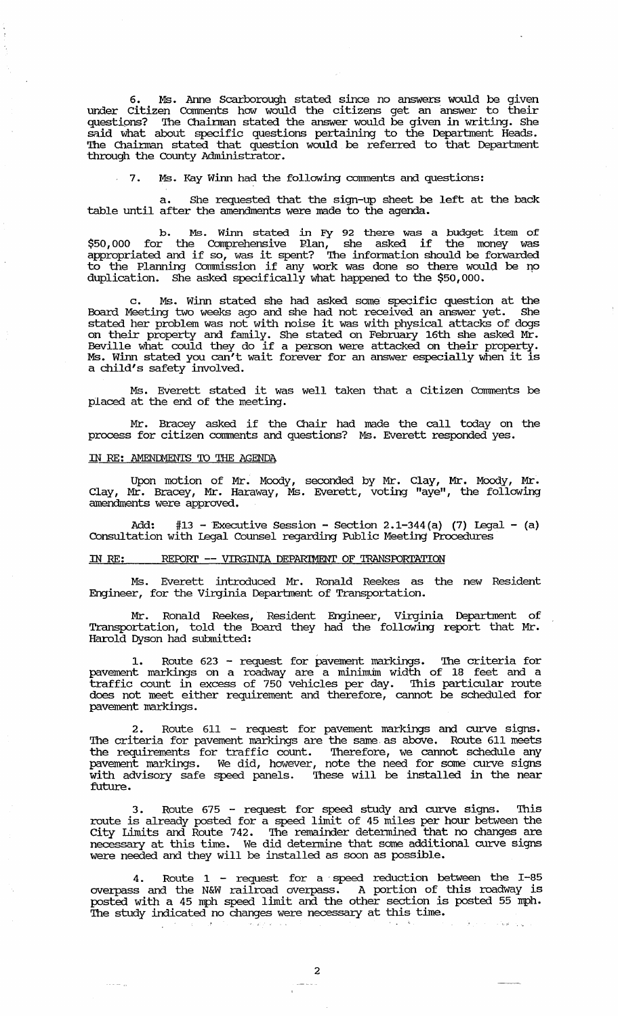6. Ms. Anne Scarborough stated since no answers would be given under Citizen Comments how would the citizens get an answer to their questions? The Chairman stated the answer would be given in writing. She said what about specific questions pertaining to the Department Heads. The Chainnan stated that question would be referred to that Department through the County Administrator.

7. Ms. Kay Winn had the following comments and questions:

a. She requested that the sign-up sheet be left at the back table until after the amendments were made to the agenda.

b. Ms. winn stated in Fy 92 there was a budget item of \$50,000 for the Comprehensive Plan, she asked if the money was appropriated and if so, was it spent? The information should be forwarded to the Planning Commission if any work was done so there would be no duplication. She asked specifically what happened to the \$50,000.

c. Ms. winn stated she had asked some specific question at the Board Meeting two weeks ago and she had not received an answer yet. She stated her problem was not with noise it was with physical attacks of dogs on their property and family. She stated on February 16th she asked Mr. Beville what could they do if a person were attacked on their property. Ms. winn stated you can't wait forever for an answer especially when it is a child's safety involved.

Ms. Everett stated it was well taken that a Citizen Comments be placed at the end of the meeting.

Mr. Bracey asked if the Chair had made the call today on the process for citizen comments and questions? Ms. Everett responded yes.

#### IN RE: AMENDMENTS TO THE AGENDA

Upon motion of Mr. Moody, seconded by Mr. Clay, Mr. Moody, Mr • Clay, Mr. Bracey, Mr. Haraway, Ms. Everett, voting "aye", the following amendments were approved.

 $#13$  - Executive Session - Section 2.1-344(a) (7) Legal - (a) Consultation with Legal Counsel regarding Public Meeting Procedures

## IN RE: REPORT -- VIRGINIA DEPARIMENT OF TRANSPORTATION

Ms. Everett introduced Mr. Ronald Reekes as the new Resident Engineer, for the Virginia Department of Transportation.

Mr. Ronald Reekes, Resident Engineer, Virginia Department of Transportation, told the Board they had the following report that Mr. Harold Dyson had submitted:

1. Route 623 - request for pavement markings. The criteria for pavement markings on a roadway are a minimum width of 18 feet and a traffic count in excess of 750 vehicles per day. This particular route does not meet either requirement and therefore, cannot be scheduled for pavement markings.

2. Route 611 - request for pavement markings and curve signs. The criteria for pavement markings are the same as above. Route 611 meets the requirements for traffic count. Therefore, we cannot schedule any pavement markings. We did, however, note the need for some curve signs with advisory safe speed panels. These will be installed in the near future.

3. Route 675 - request for speed study and curve signs. route is already posted for a speed limit of 45 miles per hour between the City Limits and Route 742. The remainder detennined that no changes are necessary at this time. We did detennine that some additional curve signs were needed and they will be installed as soon as possible.

Route  $1$  - request for a speed reduction between the I-85 overpass and the N&W railroad overpass. A portion of this roadway is posted with a 45 mph speed limit and the other section is posted 55 mph. The study indicated no changes were necessary at this time.  $\mathcal{A} \in \mathcal{C}(\mathcal{I})$  at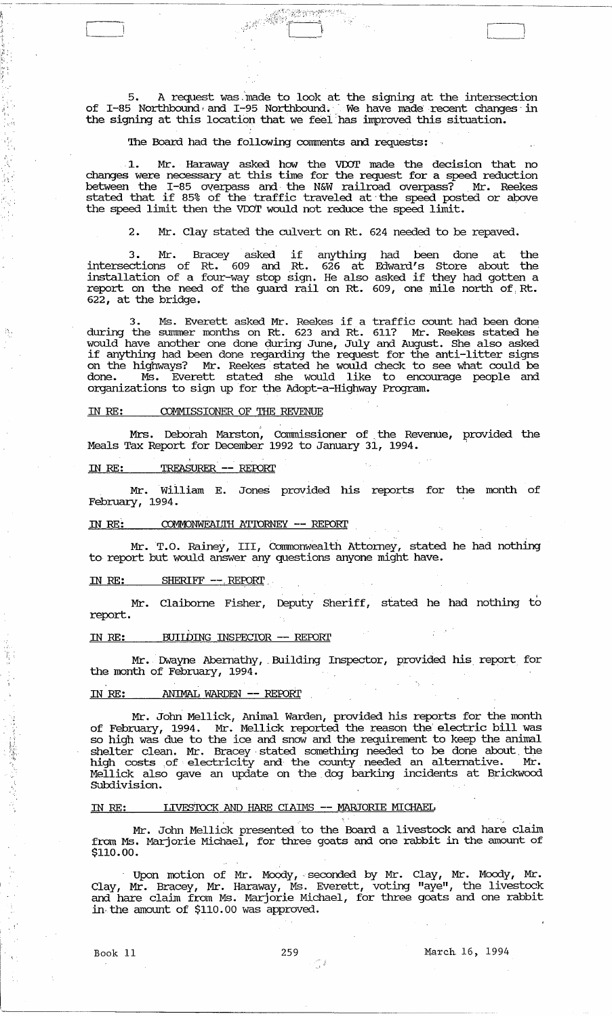5. A request was, 'made to look at the signing at the intersection of I-85 Northbound, and I-95 Northbound. We have made recent changes in the signing at this location that we feel'has improved this situation.

and the contract of the contract of the contract of the contract of the contract of the contract of the contract of the contract of the contract of the contract of the contract of the contract of the contract of the contra

## The Board had the following comments and requests:

1. Mr. Haraway asked how the VDOT made the decision that no changes were necessary at this time for the request for a speed reduction between the 1-85 OVerpass and the N&W railroad overpass? Mr. Reekes stated that if 85% of the traffic traveled at' the speed posted or above the speed limit then the VDOT would not reduce the speed limit.

2. Mr. Clay stated the culvert on Rt. 624 needed to be repaved.

3. Mr. Bracey asked if anything had been done at the intersections of Rt. 609 and Rt. 626 at Edward's store about the installation of a four-way stop sign. He also asked if they had gotten a report on the need of the guard rail on Rt. 609, one mile north of Rt. 622, at the bridge.

3. Ms. Everett asked Mr. Reekes if a traffic count had been done during the summer months on Rt. 623 and Rt. 611? Mr. Reekes stated he would have another one done during June, July and August. She also asked if anything had been done regarding the request for the anti-litter signs on the highways? Mr. Reekes' stated he would check to see what could be done. Ms. Everett stated she would like to encourage people and organizations to sign up for the Adopt-a-Highway Program.

# IN RE: COMMISSIONER OF THE REVENUE

Mrs. Deborah Marston, Commissioner of the Revenue, provided the Meals Tax Report for December 1992 to January 31, 1994.

IN RE: TREASURER -- REPORT

; i'

 $\mathbb{A}^{\mathbb{N}}$ 

Mr. William E. Jones provided his reports for the month of February, 1994.

#### IN RE: COMMONWEALTH ATTORNEY -- REPORT

Mr.T.O. Rainey, III, Commonwealth Attorney, stated he had nothing to report but would answer any questions anyone might have.

# IN RE: SHERIFF --. REFORI' ,

Mr. Claiborne Fisher, Deputy Sheriff, stated he had nothing to report.

## IN RE: BUILDING INSPECTOR -- REPORT

Mr. Dwayne Abernathy, Building Inspector, provided his report for the month of February, 1994.

## IN RE: ANIMAL WARDEN -- REPORT

Mr. John Mellick, Animal Warden, provided his reports for the month of February, 1994. Mr. Mellick reported the reason the' electric bill was so high was due to the ice and snow and the requirement to keep the animal shelter clean. Mr. Bracey' stated something needed to be done about, the high costs of electricity and the county needed an alternative. Mr. Mellick also gave an update on the. dog barking incidents at Brickwood Subdivision.

# IN RE: LIVESTOCK AND HARE CIAIMS -- MARJORIE MICHAEL

Mr. John Mellick presented to the Board a livestock and hare claim from Ms. Marjorie Michael, for three goats and one rabbit in the amount of \$110.00.

Upon motion of Mr. Moody, seconded by Mr. Clay, Mr. Moody, Mr. Clay, Mr. Bracey, Mr. Haraway, Ms. Everett, voting "aye", the livestock and hare claim from Ms. Marjorie Michael, for three goats and one rabbit in· the amount of \$110.00 was approved.

!'  $\mathbf{r}$ 

○ 今日は「大学のことを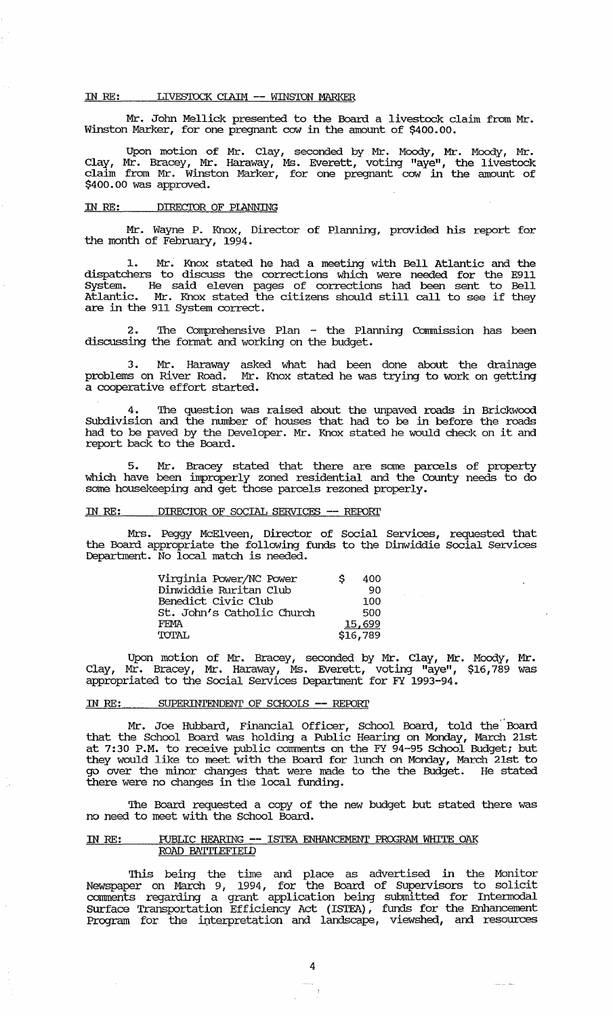#### IN RE: LIVESTOCK CLAIM -- WINSTON MARKER

Mr. Jolm Mellick presented to the Board a livestock claim from Mr. winston Marker, for one pregnant cow in the amount of \$400.00.

Upon motion of Mr. Clay, seconded by Mr. Moody, Mr. Moody, Mr. Clay, Mr. Bracey, Mr. Haraway, Ms. Everett, voting "aye", the livestock claim from Mr. Winston Marker, for one pregnant cow in the amount of \$400.00 was approved. .

## IN RE: DIRECTOR OF PLANNING

Mr. Wayne P. Knox, Director of Planning, provided his report for the month of February, 1994.

Mr. Knox stated he had a meeting with Bell Atlantic and the dispatchers to discuss the corrections which were needed for the E911 System. He said eleven pages of corrections had been sent to Bell Atlantic. Mr. Knox stated the citizens should still call to see if they are in the 911 System correct.

2. The Comprehensive Plan - the Planning Commission has been discussing the format and working on the budget.

3. Mr. Haraway asked what had been done about the drainage problems on River Road. Mr. Knox stated he was trying to work on getting problems on River Road. Mr.<br>a cooperative effort started.

4. The question was raised about the unpaved roads in Brickwood Subdivision and the number of houses that had to be in before the roads had to be paved by the Developer. Mr. Knox stated he would check on it and report back to the Board.

5. Mr. Bracey stated that there are some parcels of property which have been improperly zoned residential and the County needs to do some housekeeping and get those parcels rezoned properly.

# m RE: DIREC'IOR OF SOCIAL SERVICES -- REFORl'

Mrs. Peggy McElveen, Director of Social Services, requested that the Board appropriate the following funds to the Dinwiddie Social Services Department. No local match is needed.

| Virginia Power/NC Power    | s | 400      |
|----------------------------|---|----------|
| Dinwiddie Ruritan Club     |   | -90      |
| Benedict Civic Club        |   | 100      |
| St. John's Catholic Church |   | 500      |
| FFMA                       |   | 15,699   |
| TOTAL                      |   | \$16,789 |

Upon motion of Mr. Bracey, seconded by Mr. Clay, Mr. Moody, Mr. Clay, Mr. Bracey, Mr. Haraway, Ms. Everett, voting "aye", \$16,789 was appropriated to the Social Services Department for FY 1993-94.

## IN RE: SUPERINTENDENT OF SCHOOLS -- REPORT

J.

Mr. Joe Hubbard, Financial Officer, School Board, told the" Board that the School Board was holding a Public Hearing on Monday, March 21st at 7:30 P.M. to receive public comments on the FY 94-95 School Budget; but they would .like to meet with the Board for lunch on Monday, March 21st to go over the minor changes that were made to the the Budget. He stated there were no changes in the local funding.

The Board requested a copy of the new budget but stated there was no need to meet with the School Board.

# IN RE: PUBLIC HEARING -- ISTEA ENHANCEMENT PROGRAM WHITE OAK ROAD BATTLEFIELD

This being the time and place as advertised in the Monitor Newspaper on March 9, 1994, for the Board of supervisors to solicit corrrrnents regarding a grant application being submitted for Intermodal Surface Transportation Efficiency Act (ISTEA), funds for the Enhancement Program for the interpretation and landscape, viewshed, and resources

وللمستنبذ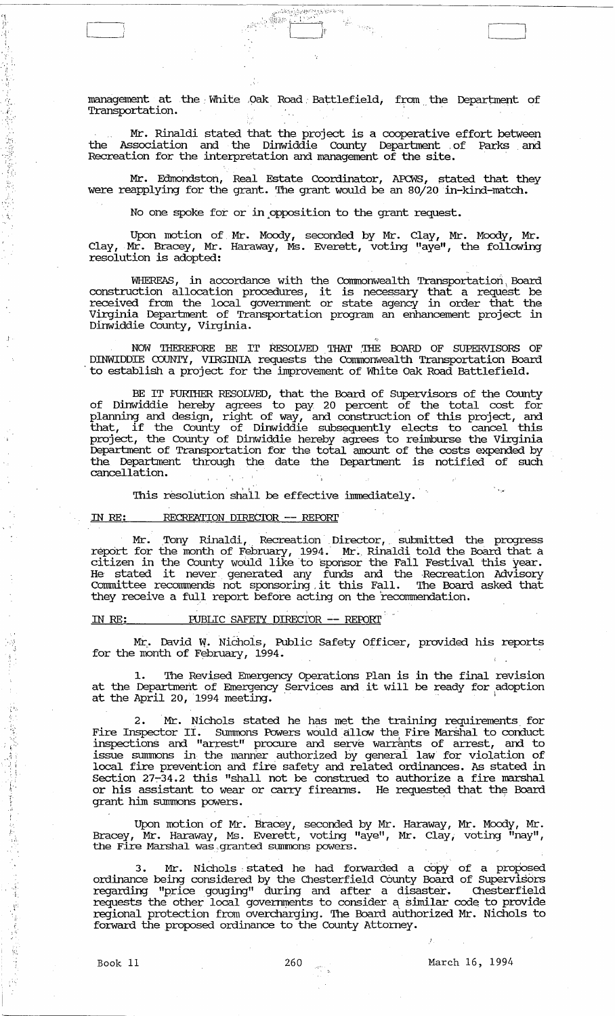management at the White Oak Road Battlefield, from the Department of Transportation.

Mr. Rinaldi stated that the project is a cooperative effort between the Association and the Dinwiddie County Department of Parks and Recreation for the interpretation and management of the site.

Mr. Edmondston, Real Estate Coordinator, APCWS, stated that they were reapplying for the grant. The grant would be an 80/20 in-kind-match.

No one spoke for or in opposition to the grant request.

Upon motion of. Mr. Moody, seconded by Mr. Clay, Mr. Moody, Mr. Clay, Mr. Bracey, Mr. Haraway, Ms. Everett, voting "aye", the following resolution is adopted:

WHEREAS, in accordance with the Commonwealth Transportation. Board construction allocation procedures, it is necessary that a request be received from the local goverrnnent or state agency in order that the Virginia Deparbnent of Transportation program an enhancement project in Dinwiddie County, Virginia.

NOW THEREFORE BE IT RESOLVED THAT THE BOARD OF SUPERVISORS OF DINWIDDIE COUNTY, VIRGINIA requests the Commonwealth Transportation Board 'to establish a project for the inlprovement of White Oak Road Battlefield.

BE IT FURTHER RESOLVED, that the Board of Supervisors of the County of Dinwiddie hereby agrees to pay 20 percent of the total cost for planning and design, right of way, and construction of this project, and that, if the County of Dinwiddie subsequently elects to cancel this project, the County of Dinwiddie hereby agrees to reimburse the Virginia Deparbnent of Transportation for the total amount of the costs expended by the Department through the date the Department is notified of such cancellation.

This resolution shall be effective immediately.

#### RECREATION DIRECTOR -- REPORT IN RE:

Mr. Tony Rinaldi, Recreation Director, submitted the progress report for the month of February, 1994. Mr. Rinaldi told the Board that a citizen in the County would like to sponsor the Fall Festival this year.<br>He stated it never generated any funds and the Recreation Advisory recieation Advisory<br>Committee recommends not sponsoring it this Fall. The Board asked that they receive a full report before acting on the recommendation.

## IN RE: PUBLIC SAFEIY DIRECIOR -- REPORT

Mr. David W. Nichols, Public Safety Officer, provided his reports for the month of February, 1994.

The Revised Emergency Operations Plan is in the final revision at the Department of Emergency Services and it will be ready for adoption at the April 20, 1994 meeting.

2. Mr. Nichols stated he has met the training requirements for Fire Inspector II. Summons Powers would allow the Fire Marshal to conduct inspections and "arrest" procure and serve warrants of arrest, and to issue summons in the marmer authorized by generai law for violation of local fire prevention and fire safety and related ordinances. As stated in section 27-34.2 this "shall not be construed to authorize a fire marshal or his assistant to wear or carry fireanns. He requested that the Board grant him summons powers.

Upon motion of Mr. Bracey, seconded by Mr. Haraway, Mr. Moody, Mr. Bracey, Mr. Haraway, Ms. Everett, voting "aye", Mr. Clay, voting "nay", the Fire Marshal was granted summons powers.

3. Mr. Nichols stated he had forwarded a copy of a proposed ordinance being considered by the Chesterfield County Board of Supervisors regarding "price gouging" during and after a disaster. Chesterfield requests the other local governments to consider a similar code to provide regional protection from overcharging. The Board authorized Mr. Nichols to fo:rward the proposed ordinance to the County Attorney.

"1, I:i'

 $[\,$ 

.. , .

'. " .

 $\cdot$  .  $i'$  ,

. f:';

c, "

/: .

 $\mathcal{E} \in \mathbb{R}^n$ 

v: .'

显得

i<br>T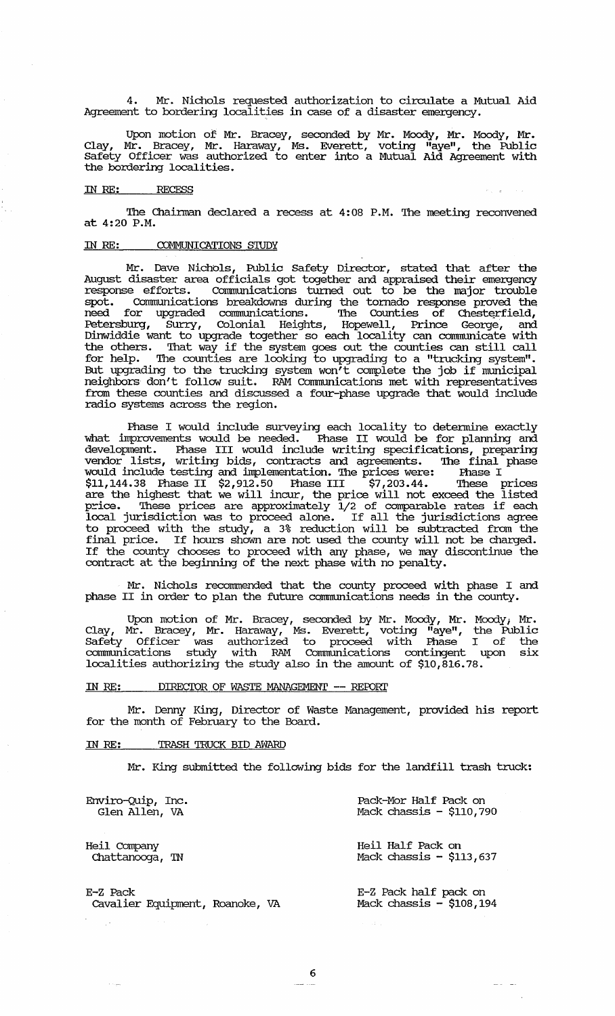4. Mr. Nichols requested authorization to circulate a Mutual Aid Agreement to bordering localities in case of a disaster emergency.

Upon motion of Mr. Bracey, seconded by Mr. Moody, Mr. Moody, Mr. Clay, Mr. Bracey, Mr. Haraway, Ms. Everett, voting "aye", the Public Safety Officer was authorized to enter into a Mutual Aid Agreement with the bordering localities.

## IN RE: RECESS

The Chairman declared a recess at 4:08 P.M. The meeting reconvened at 4:20 P.M.

## IN RE: COMMUNICATIONS STUDY

Mr. Dave Nichols, Public Safety Director, stated that after the August disaster area officials got together and appraised their emergency response efforts. communications turned out to be the major trouble spot. communications breakdowns during the tornado response proved the need for upgraded communications. The Counties of Chesterfield, Petersburg, Surry, Colonial Heights, Hopewell, Prince George, and Dinwiddie want to upgrade together so each locality can communicate with the others. That way if the system goes out the counties can still call for help. The counties are looking to upgrading to a "trucking system". But upgrading to the trucking system won't complete the job if municipal neighbors don't follow suit. RAM communications met with representatives from these counties and discussed a four-phase upgrade that would include radio systems across the region.

Phase I would include surveying each locality to detennine exactly what inprovements would be needed. Phase II would be for planning and development. Phase III would include writing specifications, preparing vendor lists, writing bids, contracts and agreements. The final phase would include testing and inplementation. The prices were: Phase I \$11,144.38 Phase II \$2,912.50 Phase III \$7,203.44. These prices are the highest that we will incur, the price will not exceed the listed price. These prices are approximately 1/2 of comparable rates if each local jurisdiction was to proceed alone. If all the jurisdictions agree to proceed with the study, a 3% reduction will be subtracted from the final price. If hours shawn are not used the county will not be charged. If the county chooses to proceed with any phase, we may discontinue the contract at the beginning of the next phase with no penalty.

Mr. Nichols reconnnended that the county proceed with phase I and phase II in order to plan the future communications needs in the county.

Upon motion of Mr. Bracey, seconded by Mr. Moody, Mr. Moody; Mr. Clay, Mr. Bracey, Mr. Haraway, Ms. Everett, voting "aye", the Public Safety Officer was authorized to proceed with Phase I of the communications study with RAM communications contingent upon six localities authorizing the study also in the amount of \$10,816.78.

# IN RE: DIRECTOR OF WASTE MANAGEMENT -- REPORT

Mr. Dermy King, Director of waste Management, provided his report for the month of February to the Board.

# IN RE: TRASH TRUCK BID AWARD

 $\sim$ 

Mr. King submitted the following bids for the landfill trash truck:

 $\sim 10^{-7}$ 

 $\omega_{\rm{eff}}=1$ 

| Enviro-Quip, Inc.               | Pack-Mor Half Pack on      |
|---------------------------------|----------------------------|
| Glen Allen, VA                  | Mack chassis - $$110,790$  |
| Heil Company                    | Heil Half Pack on          |
| Chattanooga, TN                 | Mack chassis $-$ \$113,637 |
| E-Z Pack                        | E-Z Pack half pack on      |
| Cavalier Equipment, Roanoke, VA | Mack chassis $-$ \$108,194 |

6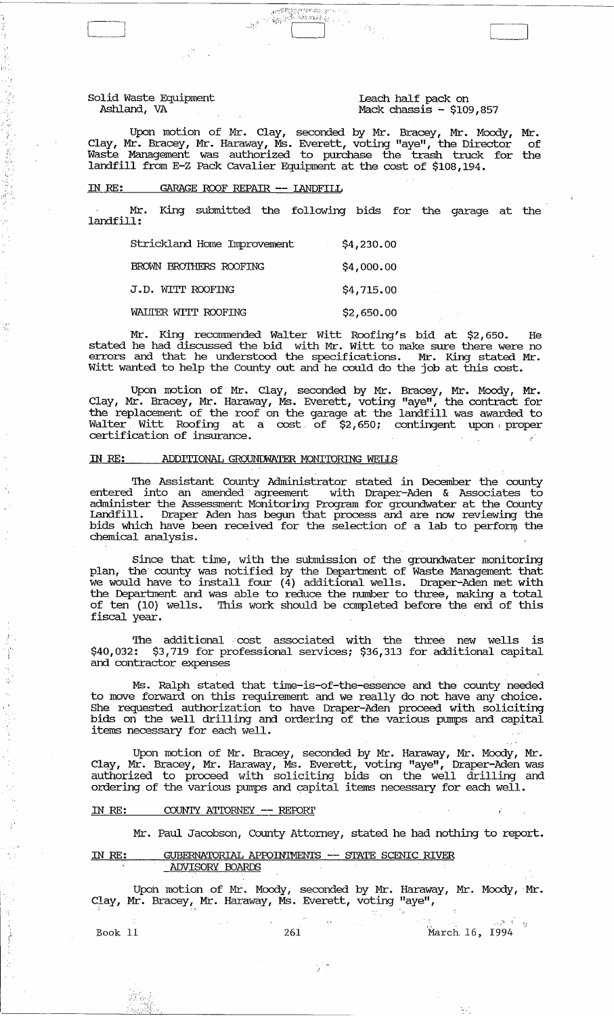Solid Waste Equipment Ashland, VA

" <sup>~</sup>

 $^{\prime}$  .

 $\mathbf{r}_n$   $\epsilon$ 

'; ...

重新推进 医前缀 医阿特拉氏菌

Leach half pack on Mack chassis ~ \$109,857

Upon motion of Mr. Clay, seconded by Mr. Bracey, Mr. Moody, Mr. Clay, Mr. Bracey, Mr. Haraway, Ms. Everett, voting "aye", the Director of Waste Management was authorized to purchase the trash truck for the landfill from E~Z Pack cavalier Equipment at the cost of \$108,194 •

#### IN RE: GARAGE ROOF REPAIR **--** lANDFIlL

Mr. King submitted the following bids for the garage at the landfill:

| Strickland Home Improvement | \$4,230.00 |
|-----------------------------|------------|
| BROWN BROTHERS ROOFTNG      | \$4,000.00 |
| J.D. WITT ROOFING           | \$4,715.00 |
| WALITER WITT ROOFING        | \$2,650.00 |

Mr. King recommended Walter Witt Roofing's bid at \$2,650. stated he had discussed the bid with Mr. witt to make sure there were no errors and that he understood the specifications. Mr. King stated Mr. witt wanted to help the County out and he could do the job at this cost.

Upon motion of Mr. Clay, seconded by Mr. Bracey, Mr. Moody, Mr. Clay, Mr. Bracey, Mr. Haraway, Ms. Everett, voting "aye", the contract for the replacement of the roof on the garage at the landfill was awarded to Walter Witt Roofing at a cost of \$2,650; contingent upon proper certification of insurance.

## IN RE: ADDITIONAL GROUNDWATER MONITORING WELLS

The Assistant County Administrator stated in December the county entered into an amended agreement with Draper-Aden & Associates to administer the Assessment Monitoring Program for groundwater at the County landfill. Draper Aden has begun that process and are now reviewing the bids which have been received for the selection of a lab to perform the chemical analysis. .

since that time, with the submission of the groundwater monitoring plan, the' county was notified by the Deparbnent of Waste Management that we would have to install four (4) additional wells. Draper-Aden met with the Department and was able to reduce the number to three, making a total of ten (10) wells. This work should be completed before the end of this fiscal year.

The additional cost associated with the three new wells is \$40,032: \$3,719 for professional services; \$36,313 for additional capital and contractor expenses

Ms. Ralph stated that time-is-of-the-essence and the county needed to move forward on this requirement and we really do. not have any choice. She requested authorization to have Draper-Aden proceed with soliciting bids on the well drilling and ordering of the various pumps and capital items necessary for each well.

Upon motion of Mr. Bracey, seconded by Mr. Haraway, Mr. Moody, Mr. Clay, Mr. Bracey, Mr. Haraway, Ms. Everett, voting "aye", Draper-Aden was authorized to proceed with soliciting bids on the well drilling and ordering of the various pumps and capital items necessary for each well.

#### IN RE: COUNTY ATTORNEY -- REPORT

Mr. Paul Jacobson, County Attorney, stated he had nothing to report.

## IN RE: GUBERNATORIAL APPOINTMENTS -- STATE SCENIC RIVER ADVISORY BOARDS

Upon motion of Mr. Moody, seconded by Mr. Haraway, Mr. Moody, Mr. Clay, Mr. Bracey, Mr. Haraway, Ms. Everett, voting "aye",

ੱਤ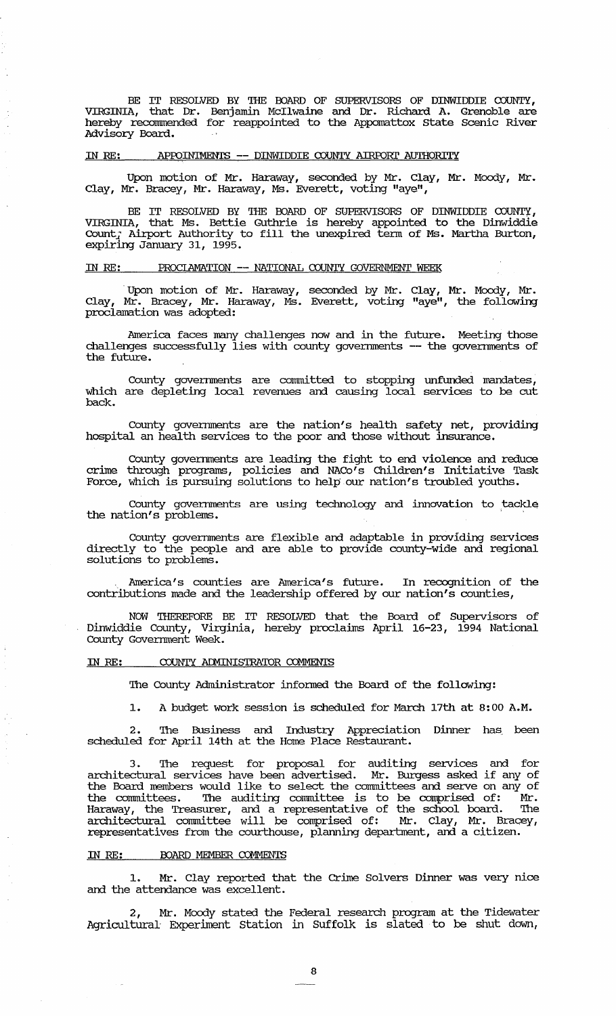BE IT RESOLVED BY THE BOARD OF SUPERVISORS OF DINWIDDIE COUNTY, VIRGINIA, that Dr. Benjamin McIlwaine and Dr. Richard A. Grenoble are hereby recommended for reappointed to the Appomattox State Scenic River Advisory Board.

#### IN RE: APfDIN'IMENTS ~- DINWIDDIE COUNTY AIRPORl' AUl'HORITY

Upon motion of Mr. Haraway, seconded by Mr. Clay, Mr. Moody, Mr. Clay, Mr. Bracey, Mr. Haraway, Ms. Everett, voting "aye",

BE IT RESOLVED BY THE BOARD OF SUPERVISORS OF DINWIDDIE  $\overline{cov}$  , VIRGINIA, that Ms. Bettie Guthrie is hereby appointed to the Dinwiddie Count, the last better cadinic is hereby appointed to die binnique expiring January 31, 1995.

#### IN RE: PROCLAMATION -- NATIONAL COUNTY GOVERNMENT WEEK

. Upon motion of Mr. Haraway, seconded by Mr. Clay, Mr. Moody, Mr. Clay, Mr. Bracey, Mr. Haraway, Ms. Everett, voting "aye", the following proclamation was adopted:

America faces many challenges now and in the future. Meeting those challenges successfully lies with county governments -- the governments of the future.

County goverrnnents are committed to stopping unfunded mandates, which are depleting local revenues and causing local services to be cut back.

County governments are the nation's health safety net, providing hospital an health services to the poor and those without insurance.

County governments are leading the fight to end violence and reduce crime through programs, policies and NACo's Children's Initiative Task Force, which is pursuing solutions to help our nation's troubled youths.

County governments are using technology and innovation to tackle the nation's problems.

County goverrnnents are flexible and adaptable in providing services directly to the people and are able to provide county-wide and regional solutions to problems.

America's counties are America's future. In recognition of the contributions made and the leadership offered by our nation's counties,

NOW THEREFDRE BE IT RESOLVED that the Board of Supervisors of Dinwiddie County, Virginia, hereby proclaims April 16-23, 1994 National County Government Week.

# IN RE: COUNTY ADMINISTRATOR COMMENTS

The County Administrator infonned the Board of the following:

1. A budget work session is scheduled for March 17th at 8:00 A.M.

2. The Business and Industry Appreciation Dinner has, been scheduled for April 14th at the Home Place Restaurant.

3. The request for proposal for auditing services and for architectural services have been advertised. Mr. Burgess asked if any of the Board members would like to select the comrnittees and serve on any of the comrnittees. The auditing committee is to be comprised of: Mr. Haraway, the Treasurer, and a representative of the school board. The architectural committee will be comprised of: Mr. Clay, Mr. Bracey, representatives from the courthouse, planning deparbnent, and a citizen.

#### IN RE: BOARD MEMBER COMMENTS

1. Mr. Clay reported that the crime Solvers Dinner was very nice and the attendance was excellent.

2, Mr. Moody stated the Federal research program at the Tidewater Agricultural Experiment station in Suffolk is slated to be shut down,

8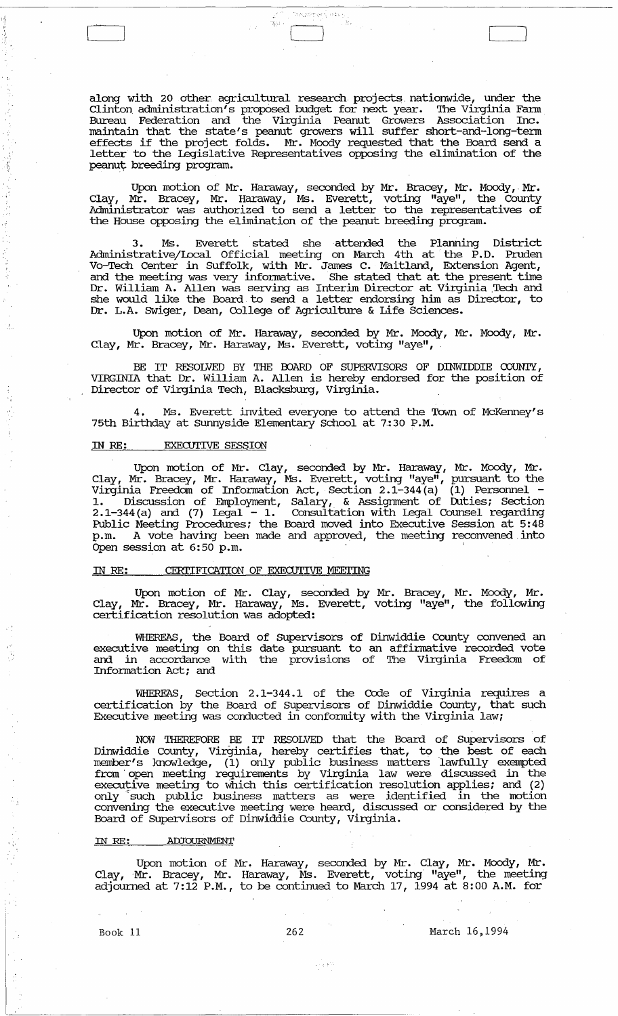along with 20 other agricultural research projects, nationwide, under the Clinton administration's proposed budget for next year. The Virginia Farm Bureau Federation and the Virginia Peanut Growers Association Inc. maintain that the state's peanut growers will suffer short-and-Iong-tenn maintain that the state's peandt growers will suffer short and long term letter to the Legislative Representatives opposing the elimination of the peanut breeding program.

angsepar inti

 $\frac{1}{2} m$  .

 $\Box$ 

Upon motion of Mr. Haraway, seconded by Mr. Bracey, Mr. Moody, Mr. Clay, Mr. Bracey, Mr. Haraway, Ms. Everett, voting "aye", the County Administrator was authorized to send a letter to the representatives of the House opposing the elimination of the peanut breeding program.

3 . Ms. Everett stated she attended the Planning District Administrative/Local Official meeting on March 4th at the P.D. Pruden VO-Tech Center in Suffolk, with Mr. James C. Maitland, Extension Agent, and the meeting was very informative. She stated that at the present time Dr. William A. Allen was serving as Interim Director at Virginia Tech and she would like the Board, to send a letter endorsing him as Director, to Dr. L.A. SWiger, Dean, College of Agriculture & Life Sciences.

Upon motion of Mr. Haraway, seconded by Mr. Moody, Mr. Moody, Mr. Clay, Mr. Bracey, Mr. Haraway, Ms. Everett, voting "aye",

BE IT RESOLVED BY THE OOARD OF SUPERVISORS OF DINWIDDIE COUNTY, VIRGINIA that Dr. William A. Allen is hereby endorsed for the position of Director of Virginia Tech, Blacksburg, Virginia.

4 . Ms. Everett invited everyone to attend the Town of McKenney's 75th Birthday at sunnyside Elementary School at 7,:30 P.M.

## IN RE: EXECUTIVE SESSION

Upon motion of Mr. Clay, seconded by Mr. Haraway, Mr. Moody, Mr. Clay, Mr. Bracey, Mr. Haraway, Ms. Everett, voting "aye", pursuant to the Virginia Freedom of Infonnation Act, Section 2.1-344(a) (1) Personnel - 1. Discussion of Employment, Salary, & Assigrnnent of Duties; Section 2.1-344(a) and (7) Legal - 1. Consultation with Legal Counsel regarding Public Meeting Procedures; the Board moved into Executive Session at 5:48 p.m. A vote having been made and approved, the meeting reconvened, into Open session at 6:50 p.m.

# IN RE: CERTIFICATION OF EXECUTIVE MEETING

Upon motion of Mr. Clay, seconded by Mr. Bracey, Mr. Moody, Mr. Clay, Mr. Bracey, Mr. Haraway, Ms. Everett, voting "aye", the following certification resolution was adopted:

WHEREAS, the Board of Supervisors of Dinwiddie County convened an executive meeting on this date pursuant to an affinnative recorded vote and in accordance with the provisions of The Virginia Freedom of Information Act; and

WHEREAS, Section 2.1-344.1 of the Code of Virginia requires a certification by the Board of Supervisors of Dinwiddie County, that such Executive meeting was conducted in confonnity with the Virginia law;

NOW THEREFORE BE IT RESOLVED that the Board of Supervisors of Dinwiddie County, Virginia, hereby certifies that, to the best of each member's knowledge, (1) only public business matters lawfully exempted from 'open meeting requirements by Virginia law were discussed in the executive meeting to Which this certification resolution applies; and (2) only such public business matters as were identified in the motion convening the executive meeting were heard, discussed or considered by the Board of SUpervisors of Dinwiddie County, Virginia.

# ill *RE:* ADJOURNMENT

Upon motion of Mr. Haraway, seconded by Mr. Clay, Mr. Moody, Mr. Clay, Mr. Bracey, Mr. Haraway, Ms. Everett, voting "aye", the meeting adjourned at 7:12 P.M., to be continued to March 17, 1994 at 8:00 A.M. for

 $\sim$  1  $\sigma$  .  $t$